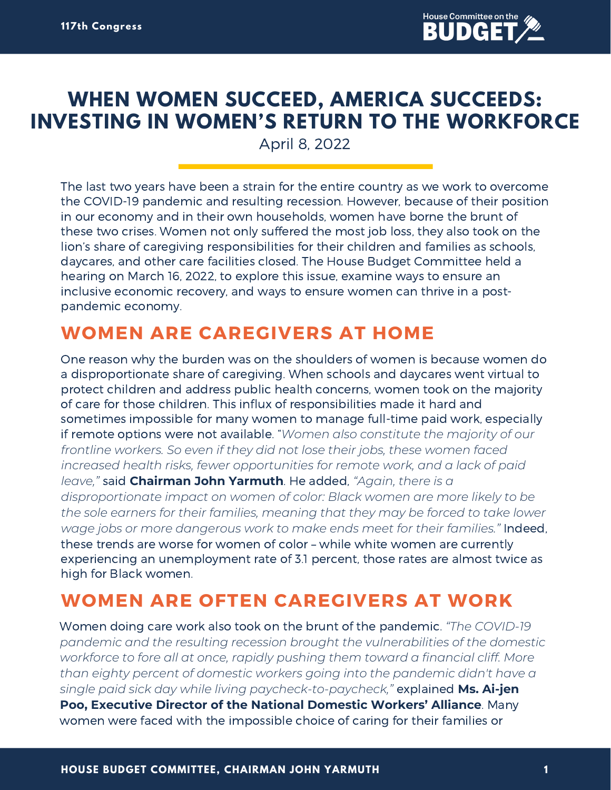

# **WHEN WOMEN SUCCEED, AMERICA SUCCEEDS: INVESTING IN WOMEN'S RETURN TO THE WORKFORCE**

April 8, 2022

The last two years have been a strain for the entire country as we work to overcome the COVID-19 pandemic and resulting recession. However, because of their position in our economy and in their own households, women have borne the brunt of these two crises. Women not only suffered the most job loss, they also took on the lion's share of caregiving responsibilities for their children and families as schools, daycares, and other care facilities closed. The House Budget Committee held a hearing on March 16, 2022, to explore this issue, examine ways to ensure an inclusive economic recovery, and ways to ensure women can thrive in a postpandemic economy.

# **WOMEN ARE CAREGIVERS AT HOME**

One reason why the burden was on the shoulders of women is because women do a disproportionate share of caregiving. When schools and daycares went virtual to protect children and address public health concerns, women took on the majority of care for those children. This influx of responsibilities made it hard and sometimes impossible for many women to manage full-time paid work, especially if remote options were not available. "*Women also constitute the majority of our frontline workers. So even if they did not lose their jobs, these women faced increased health risks, fewer opportunities for remote work, and a lack of paid leave,"* said **Chairman John Yarmuth**. He added, *"Again, there is a disproportionate impact on women of color: Black women are more likely to be the sole earners for their families, meaning that they may be forced to take lower wage jobs or more dangerous work to make ends meet for their families."* Indeed, these trends are worse for women of color – while white women are currently experiencing an unemployment rate of 3.1 percent, those rates are almost twice as high for Black women.

### **WOMEN ARE OFTEN CAREGIVERS AT WORK**

Women doing care work also took on the brunt of the pandemic. *"The COVID-19 pandemic and the resulting recession brought the vulnerabilities of the domestic workforce to fore all at once, rapidly pushing them toward a financial cliff. More than eighty percent of domestic workers going into the pandemic didn't have a single paid sick day while living paycheck-to-paycheck,"* explained **Ms. Ai-jen Poo, Executive Director of the National Domestic Workers' Alliance**. Many women were faced with the impossible choice of caring for their families or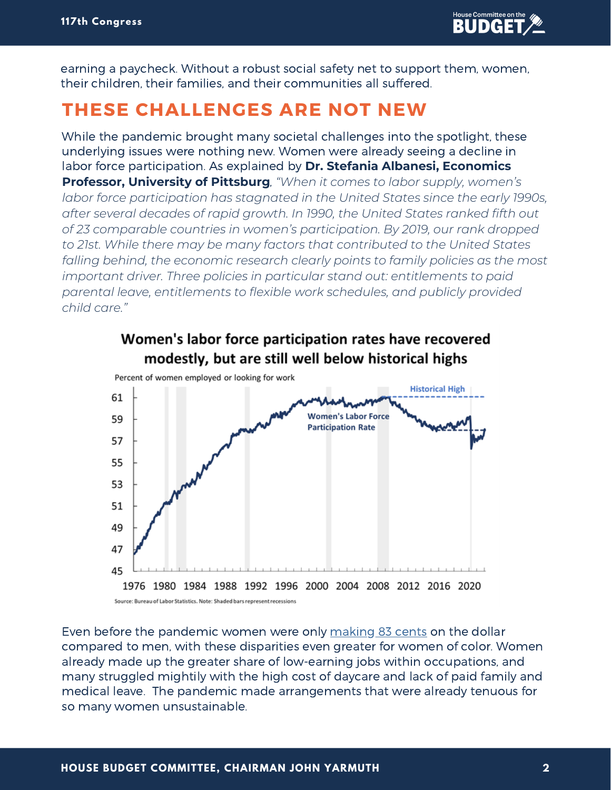earning a paycheck. Without a robust social safety net to support them, women, their children, their families, and their communities all suffered.

#### **THESE CHALLENGES ARE NOT NEW**

While the pandemic brought many societal challenges into the spotlight, these underlying issues were nothing new. Women were already seeing a decline in labor force participation. As explained by **Dr. Stefania Albanesi, Economics Professor, University of Pittsburg**, *"When it comes to labor supply, women's labor force participation has stagnated in the United States since the early 1990s, after several decades of rapid growth. In 1990, the United States ranked fifth out of 23 comparable countries in women's participation. By 2019, our rank dropped to 21st. While there may be many factors that contributed to the United States falling behind, the economic research clearly points to family policies as the most important driver. Three policies in particular stand out: entitlements to paid parental leave, entitlements to flexible work schedules, and publicly provided child care."*



Women's labor force participation rates have recovered

Even before the pandemic women were only [making](https://www.americanprogress.org/article/women-of-color-and-the-wage-gap/) 83 cents on the dollar compared to men, with these disparities even greater for women of color. Women already made up the greater share of low-earning jobs within occupations, and many struggled mightily with the high cost of daycare and lack of paid family and medical leave. The pandemic made arrangements that were already tenuous for so many women unsustainable.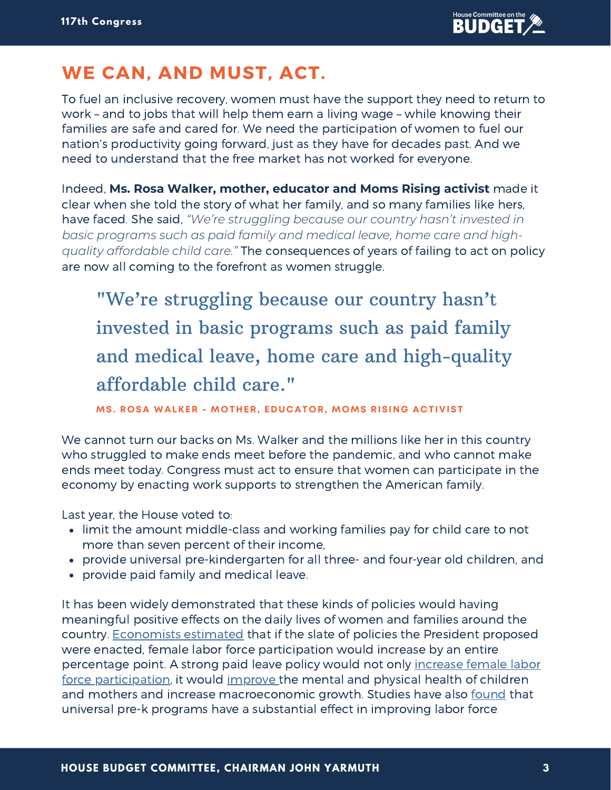## **WE CAN, AND MUST, ACT.**

To fuel an inclusive recovery, women must have the support they need to return to work – and to jobs that will help them earn a living wage – while knowing their families are safe and cared for. We need the participation of women to fuel our nation's productivity going forward, just as they have for decades past. And we need to understand that the free market has not worked for everyone.

Indeed, **Ms. Rosa Walker, mother, educator and Moms Rising activist** made it clear when she told the story of what her family, and so many families like hers, have faced. She said, *"We're struggling because our country hasn't invested in basic programs such as paid family and medical leave, home care and highquality affordable child care."* The consequences of years of failing to act on policy are now all coming to the forefront as women struggle.

"We're struggling because our country hasn't invested in basic programs such as paid family and medical leave, home care and high-quality affordable child care."

**MS. ROSA WALKER - MOTHER, EDUCATOR, MOMS RISING ACTIVIST**

We cannot turn our backs on Ms. Walker and the millions like her in this country who struggled to make ends meet before the pandemic, and who cannot make ends meet today. Congress must act to ensure that women can participate in the economy by enacting work supports to strengthen the American family.

Last year, the House voted to:

- limit the amount middle-class and working families pay for child care to not more than seven percent of their income,
- provide universal pre-kindergarten for all three- and four-year old children, and
- provide paid family and medical leave.

It has been widely demonstrated that these kinds of policies would having meaningful positive effects on the daily lives of women and families around the country. [Economists](https://www.cnn.com/2021/05/11/perspectives/biden-build-back-better/index.html) estimated that if the slate of policies the President proposed were enacted, female labor force participation would increase by an entire percentage point. A strong paid leave policy would not only increase female labor force [participation,](https://equitablegrowth.org/factsheet-what-does-the-research-say-about-the-economics-of-paid-leave/) it would [improve](https://pubmed.ncbi.nlm.nih.gov/32134836/) the mental and physical health of children and mothers and increase macroeconomic growth. Studies have also [found](https://www.americanprogress.org/article/effects-universal-preschool-washington-d-c/) that universal pre-k programs have a substantial effect in improving labor force